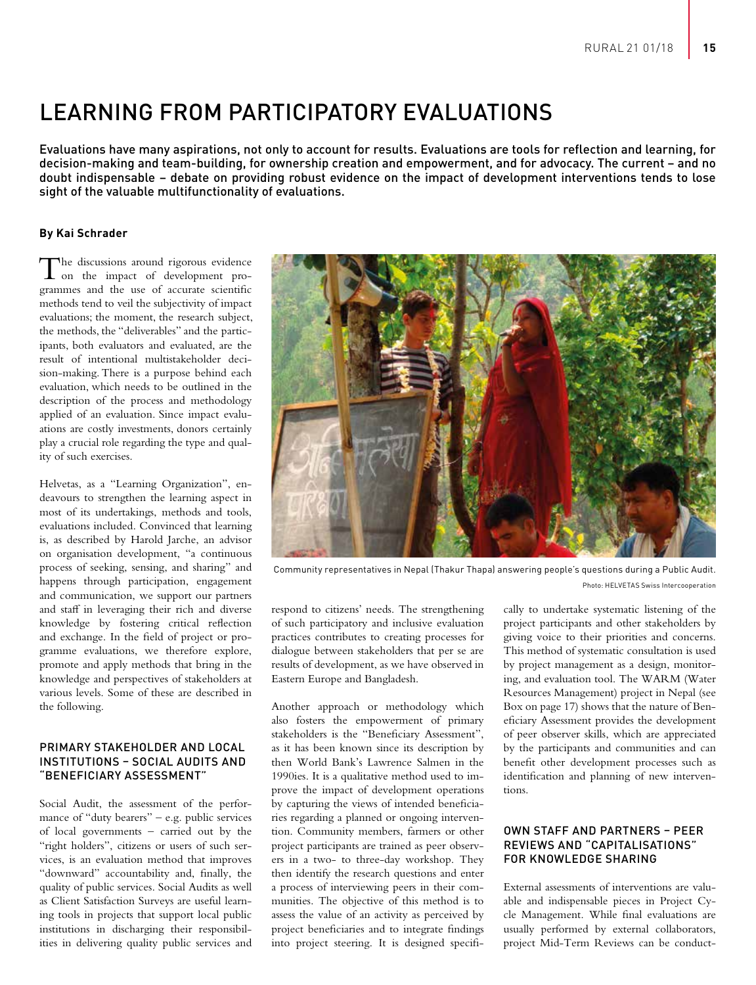# LEARNING FROM PARTICIPATORY EVALUATIONS

Evaluations have many aspirations, not only to account for results. Evaluations are tools for reflection and learning, for decision-making and team-building, for ownership creation and empowerment, and for advocacy. The current – and no doubt indispensable – debate on providing robust evidence on the impact of development interventions tends to lose sight of the valuable multifunctionality of evaluations.

## **By Kai Schrader**

The discussions around rigorous evidence on the impact of development programmes and the use of accurate scientific methods tend to veil the subjectivity of impact evaluations; the moment, the research subject, the methods, the "deliverables" and the participants, both evaluators and evaluated, are the result of intentional multistakeholder decision-making. There is a purpose behind each evaluation, which needs to be outlined in the description of the process and methodology applied of an evaluation. Since impact evaluations are costly investments, donors certainly play a crucial role regarding the type and quality of such exercises.

Helvetas, as a "Learning Organization", endeavours to strengthen the learning aspect in most of its undertakings, methods and tools, evaluations included. Convinced that learning is, as described by Harold Jarche, an advisor on organisation development, "a continuous process of seeking, sensing, and sharing" and happens through participation, engagement and communication, we support our partners and staff in leveraging their rich and diverse knowledge by fostering critical reflection and exchange. In the field of project or programme evaluations, we therefore explore, promote and apply methods that bring in the knowledge and perspectives of stakeholders at various levels. Some of these are described in the following.

## PRIMARY STAKEHOLDER AND LOCAL INSTITUTIONS – SOCIAL AUDITS AND "BENEFICIARY ASSESSMENT"

Social Audit, the assessment of the performance of "duty bearers" – e.g. public services of local governments – carried out by the "right holders", citizens or users of such services, is an evaluation method that improves "downward" accountability and, finally, the quality of public services. Social Audits as well as Client Satisfaction Surveys are useful learning tools in projects that support local public institutions in discharging their responsibilities in delivering quality public services and



Community representatives in Nepal (Thakur Thapa) answering people's questions during a Public Audit. Photo: HELVETAS Swiss Intercooperation

respond to citizens' needs. The strengthening of such participatory and inclusive evaluation practices contributes to creating processes for dialogue between stakeholders that per se are results of development, as we have observed in Eastern Europe and Bangladesh.

Another approach or methodology which also fosters the empowerment of primary stakeholders is the "Beneficiary Assessment", as it has been known since its description by then World Bank's Lawrence Salmen in the 1990ies. It is a qualitative method used to improve the impact of development operations by capturing the views of intended beneficiaries regarding a planned or ongoing intervention. Community members, farmers or other project participants are trained as peer observers in a two- to three-day workshop. They then identify the research questions and enter a process of interviewing peers in their communities. The objective of this method is to assess the value of an activity as perceived by project beneficiaries and to integrate findings into project steering. It is designed specifically to undertake systematic listening of the project participants and other stakeholders by giving voice to their priorities and concerns. This method of systematic consultation is used by project management as a design, monitoring, and evaluation tool. The WARM (Water Resources Management) project in Nepal (see Box on page 17) shows that the nature of Beneficiary Assessment provides the development of peer observer skills, which are appreciated by the participants and communities and can benefit other development processes such as identification and planning of new interventions.

## OWN STAFF AND PARTNERS – PEER REVIEWS AND "CAPITALISATIONS" FOR KNOWLEDGE SHARING

External assessments of interventions are valuable and indispensable pieces in Project Cycle Management. While final evaluations are usually performed by external collaborators, project Mid-Term Reviews can be conduct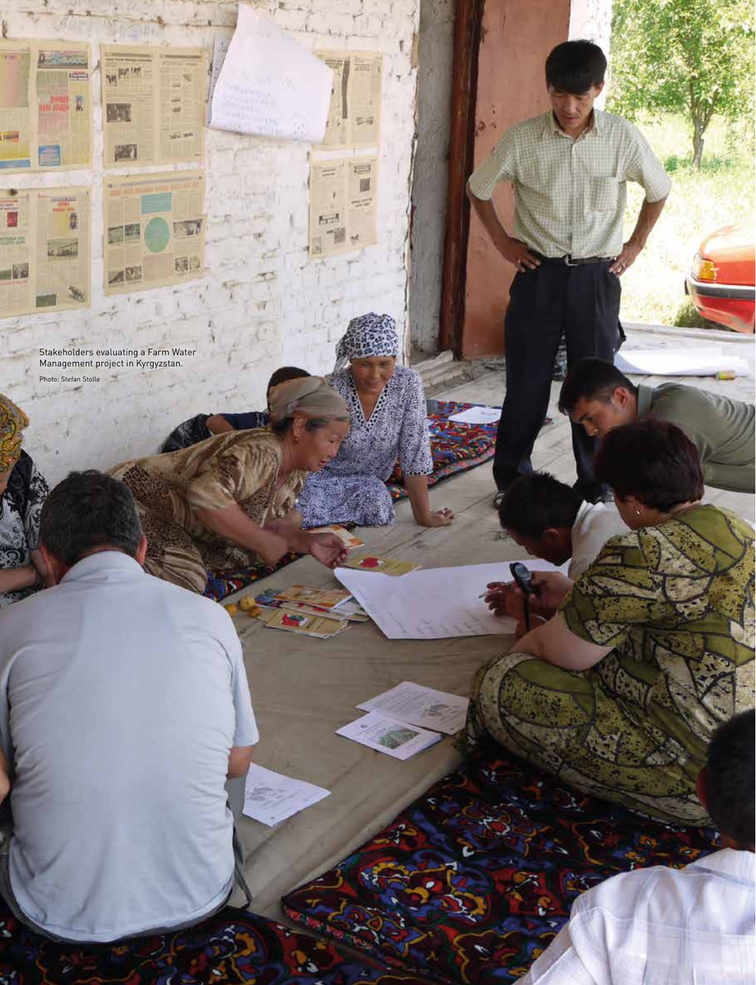Stakeholders evaluating a Farm Water Management project in Kyrgyzstan.

Photo: Stefan Stolle -

**16 Focus 16 Focus** 

**HELL** 

 $m$  and  $k$ 

**SHIP** 

--

2m Đ

**STAND** 

18

WHIT

Ŀ

圖

DE

 $A^{\overline{12}}$ 

**LELL TOP** 

Ψ

园

**ZEEL** 

EE

厚 围  $\approx$ 

find